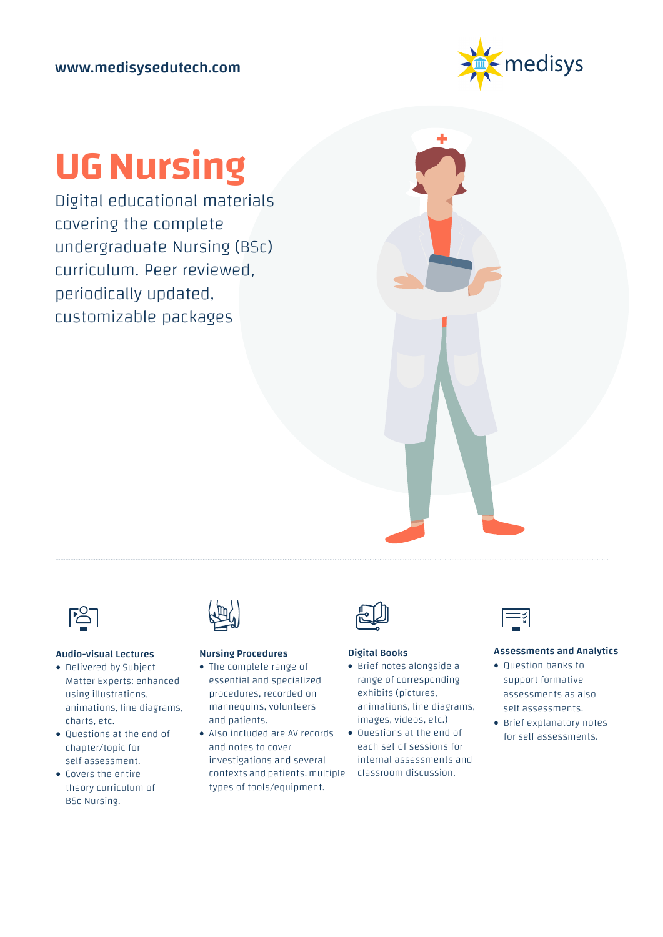

## **UG Nursing**

Digital educational materials covering the complete undergraduate Nursing (BSc) curriculum. Peer reviewed, periodically updated, customizable packages



#### Audio-visual Lectures

- Delivered by Subject Matter Experts: enhanced using illustrations, animations, line diagrams, charts, etc.
- Questions at the end of chapter/topic for self assessment.
- Covers the entire theory curriculum of BSc Nursing.



#### Nursing Procedures

- The complete range of essential and specialized procedures, recorded on mannequins, volunteers and patients.
- Also included are AV records and notes to cover investigations and several contexts and patients, multiple types of tools/equipment.



#### Digital Books

- Brief notes alongside a range of corresponding exhibits (pictures, animations, line diagrams, images, videos, etc.)
- Questions at the end of each set of sessions for internal assessments and classroom discussion.



#### Assessments and Analytics

- Question banks to support formative assessments as also self assessments.
- Brief explanatory notes for self assessments.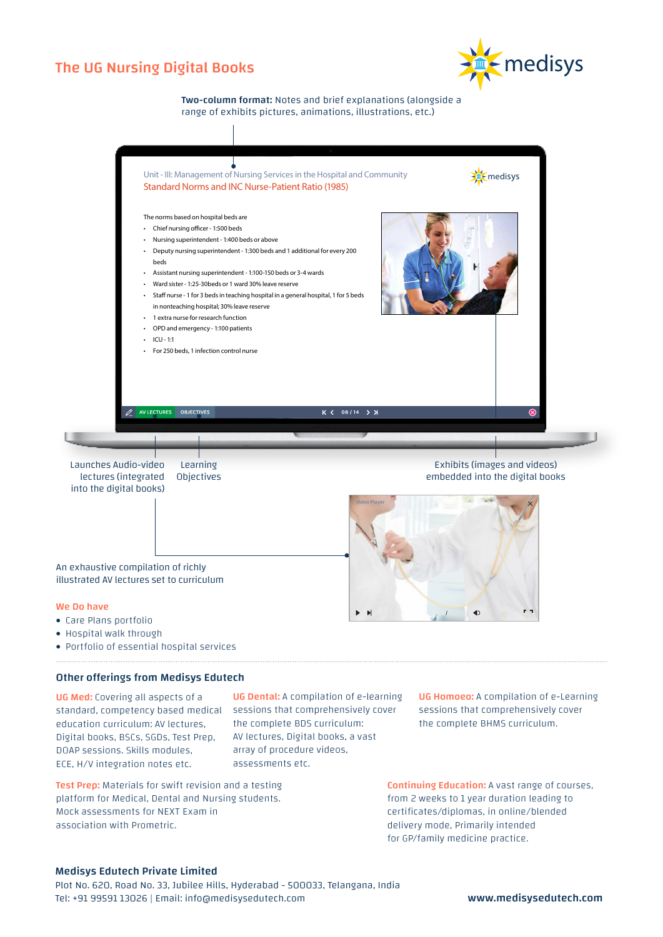## The UG Nursing Digital Books



Two-column format: Notes and brief explanations (alongside a range of exhibits pictures, animations, illustrations, etc.)



- Hospital walk through
- Portfolio of essential hospital services

#### Other offerings from Medisys Edutech

UG Med: Covering all aspects of a standard, competency based medical sessions that comprehensively cover education curriculum: AV lectures, Digital books, BSCs, SGDs, Test Prep, DOAP sessions. Skills modules, ECE, H/V integration notes etc.

UG Dental: A compilation of e-learning the complete BDS curriculum: AV lectures, Digital books, a vast array of procedure videos, assessments etc.

Test Prep: Materials for swift revision and a testing platform for Medical, Dental and Nursing students. Mock assessments for NEXT Exam in association with Prometric.

UG Homoeo: A compilation of e-Learning sessions that comprehensively cover the complete BHMS curriculum.

Continuing Education: A vast range of courses, from 2 weeks to 1 year duration leading to certificates/diplomas, in online/blended delivery mode, Primarily intended for GP/family medicine practice.

#### Medisys Edutech Private Limited

Plot No. 620, Road No. 33, Jubilee Hills, Hyderabad - 500033, Telangana, India Tel: +91 99591 13026 | Email: info@medisysedutech.com www.medisysedutech.com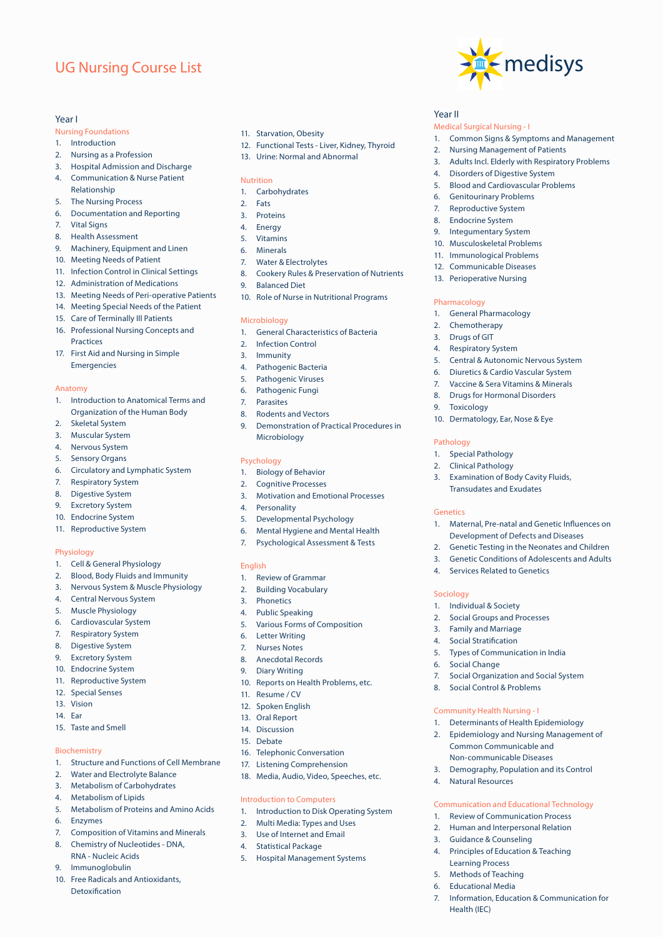## UG Nursing Course List

#### Year I

- Nursing Foundations
- 1. Introduction
- 2. Nursing as a Profession
- 3. Hospital Admission and Discharge 4. Communication & Nurse Patient
- Relationship
- 5. The Nursing Process
- 6. Documentation and Reporting
- 7. Vital Signs
- 8. Health Assessment
- 9. Machinery, Equipment and Linen
- 10. Meeting Needs of Patient
- 11. Infection Control in Clinical Settings
- 12. Administration of Medications
- 13. Meeting Needs of Peri-operative Patients
- 14. Meeting Special Needs of the Patient
- 15. Care of Terminally Ill Patients
- 16. Professional Nursing Concepts and **Practices**
- 17. First Aid and Nursing in Simple **Emergencies**

#### Anatomy

- 1. Introduction to Anatomical Terms and Organization of the Human Body
- 2. Skeletal System
- 3. Muscular System
- 4. Nervous System
- 5. Sensory Organs
- 6. Circulatory and Lymphatic System
- 7. Respiratory System
- 8. Digestive System
- 9. Excretory System
- 10. Endocrine System
- 11. Reproductive System

#### Physiology

- 1. Cell & General Physiology
- 2. Blood, Body Fluids and Immunity
- 3. Nervous System & Muscle Physiology
- 4. Central Nervous System
- 5. Muscle Physiology
- 6. Cardiovascular System
- 7. Respiratory System
- 8. Digestive System
- 9. Excretory System
- 10. Endocrine System
- 11. Reproductive System
- 12. Special Senses
- 13. Vision
- 14. Ear
- 15. Taste and Smell

#### Biochemistry

- 1. Structure and Functions of Cell Membrane
- 2. Water and Electrolyte Balance
- 3. Metabolism of Carbohydrates
- 4. Metabolism of Lipids
- 5. Metabolism of Proteins and Amino Acids
- 6. Enzymes
- 7. Composition of Vitamins and Minerals
- 8. Chemistry of Nucleotides DNA, RNA - Nucleic Acids
- 9. Immunoglobulin
- 10. Free Radicals and Antioxidants, Detoxification
- 11. Starvation, Obesity
- 12. Functional Tests Liver, Kidney, Thyroid

medisys

1. Common Signs & Symptoms and Management

3. Adults Incl. Elderly with Respiratory Problems

Year II

Medical Surgical Nursing - I

2. Nursing Management of Patients

4. Disorders of Digestive System 5. Blood and Cardiovascular Problems

6. Genitourinary Problems 7. Reproductive System 8. Endocrine System 9. Integumentary System 10. Musculoskeletal Problems 11. Immunological Problems 12. Communicable Diseases 13. Perioperative Nursing

Pharmacology

9. Toxicology

1. Special Pathology 2. Clinical Pathology

Pathology

Genetics

Sociology

1. General Pharmacology 2. Chemotherapy 3. Drugs of GIT 4. Respiratory System

5. Central & Autonomic Nervous System 6. Diuretics & Cardio Vascular System 7. Vaccine & Sera Vitamins & Minerals 8. Drugs for Hormonal Disorders

**Examination of Body Cavity Fluids,** Transudates and Exudates

1. Maternal, Pre-natal and Genetic Influences on Development of Defects and Diseases 2. Genetic Testing in the Neonates and Children 3. Genetic Conditions of Adolescents and Adults

10. Dermatology, Ear, Nose & Eye

4. Services Related to Genetics

5. Types of Communication in India

8. Social Control & Problems

Community Health Nursing - I

4. Natural Resources

3. Guidance & Counseling

Learning Process 5. Methods of Teaching **Educational Media** 

Health (IEC)

7. Social Organization and Social System

1. Determinants of Health Epidemiology 2. Epidemiology and Nursing Management of Common Communicable and Non-communicable Diseases 3. Demography, Population and its Control

Communication and Educational Technology 1. Review of Communication Process 2. Human and Interpersonal Relation

7. Information, Education & Communication for

4. Principles of Education & Teaching

1. Individual & Society 2. Social Groups and Processes 3. Family and Marriage 4. Social Stratification

6. Social Change

13. Urine: Normal and Abnormal

#### Nutrition

- 1. Carbohydrates
- 2. Fats
- 3. Proteins
- 4. Energy
- 5. Vitamins
- 6. Minerals
- 7. Water & Electrolytes
- 8. Cookery Rules & Preservation of Nutrients
- 9. Balanced Diet
- 10. Role of Nurse in Nutritional Programs

#### Microbiology

- 1. General Characteristics of Bacteria
- 2. Infection Control
- 3. Immunity
- 4. Pathogenic Bacteria
- 5. Pathogenic Viruses
- 6. Pathogenic Fungi
- 7. Parasites
- 8. Rodents and Vectors
- 9. Demonstration of Practical Procedures in Microbiology

#### Psychology

- 1. Biology of Behavior
- 2. Cognitive Processes
- 3. Motivation and Emotional Processes
- 4. Personality
- 5. Developmental Psychology
- 6. Mental Hygiene and Mental Health
- 7. Psychological Assessment & Tests

#### English

- 1. Review of Grammar
- 2. Building Vocabulary
- 3. Phonetics
- 4. Public Speaking
- 5. Various Forms of Composition

10. Reports on Health Problems, etc.

16. Telephonic Conversation 17. Listening Comprehension 18. Media, Audio, Video, Speeches, etc.

Introduction to Computers

1. Introduction to Disk Operating System 2. Multi Media: Types and Uses 3. Use of Internet and Email 4. Statistical Package

5. Hospital Management Systems

- 6. Letter Writing 7. Nurses Notes
- 8. Anecdotal Records
- 9. Diary Writing

11. Resume / CV 12. Spoken English 13. Oral Report 14. Discussion 15. Debate